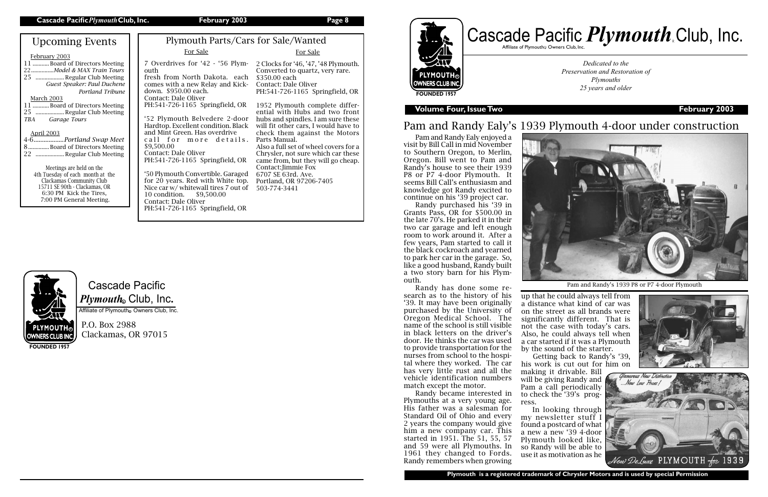## Cascade Pacific  $\boldsymbol{P} \boldsymbol{l}$ y*mouth*. Club, Inc.

Affiliate of Plymouth Owners Club, Inc.

P.O. Box 2988 Clackamas, OR 97015



**FOUNDED 1957**

**OWNERS CLUB INC.** 

**Volume Four, Issue Two February 2003**

*Dedicated to the Preservation and Restoration of Plymouths 25 years and older*



**Plymouth is a registered trademark of Chrysler Motors and is used by special Permission**

## Pam and Randy Ealy's 1939 Plymouth 4-door under construction

up that he could always tell from a distance what kind of car was on the street as all brands were significantly different. That is not the case with today's cars. Also, he could always tell when a car started if it was a Plymouth by the sound of the starter.

Pam and Randy Ealy enjoyed a visit by Bill Call in mid November to Southern Oregon, to Merlin, Oregon. Bill went to Pam and Randy's house to see their 1939 P8 or P7 4-door Plymouth. It seems Bill Call's enthusiasm and knowledge got Randy excited to continue on his '39 project car.

Randy purchased his '39 in Grants Pass, OR for \$500.00 in the late 70's. He parked it in their two car garage and left enough room to work around it. After a few years, Pam started to call it the black cockroach and yearned to park her car in the garage. So, like a good husband, Randy built a two story barn for his Plymouth.

Randy has done some research as to the history of his '39. It may have been originally purchased by the University of Oregon Medical School. The name of the school is still visible in black letters on the driver's door. He thinks the car was used to provide transportation for the nurses from school to the hospital where they worked. The car has very little rust and all the vehicle identification numbers match except the motor.

| <b>Upcoming Events</b>                                     | Plymouth Parts/Cars for Sale/Wanted                                  |                                                                  |
|------------------------------------------------------------|----------------------------------------------------------------------|------------------------------------------------------------------|
| February 2003                                              | For Sale                                                             | For Sale                                                         |
| 11  Board of Directors Meeting                             | 7 Overdrives for '42 - '56 Plym-                                     | 2 Clocks for '46, '47, '48 Plymouth.                             |
| 22Model & MAX Train Tours<br>25  Regular Club Meeting      | outh<br>fresh from North Dakota. each                                | Converted to quartz, very rare.<br>\$350.00 each                 |
| Guest Speaker: Paul Duchene                                | comes with a new Relay and Kick-                                     | Contact: Dale Oliver                                             |
| Portland Tribune                                           | down. \$950.00 each.                                                 | PH:541-726-1165 Springfield, OR                                  |
| March 2003                                                 | Contact: Dale Oliver<br>PH:541-726-1165 Springfield, OR              |                                                                  |
| 11  Board of Directors Meeting<br>25  Regular Club Meeting |                                                                      | 1952 Plymouth complete differ-<br>ential with Hubs and two front |
| Garage Tours<br>TBA                                        | '52 Plymouth Belvedere 2-door                                        | hubs and spindles. I am sure these                               |
|                                                            | Hardtop. Excellent condition. Black<br>and Mint Green. Has overdrive | will fit other cars, I would have to                             |
| <b>April 2003</b><br>4-6Portland Swap Meet                 | call for more details.                                               | check them against the Motors<br>Parts Manual.                   |
| 8Board of Directors Meeting                                | \$9,500.00                                                           | Also a full set of wheel covers for a                            |
| 22  Regular Club Meeting                                   | Contact: Dale Oliver                                                 | Chrysler, not sure which car these                               |
| Meetings are held on the                                   | PH:541-726-1165 Springfield, OR                                      | came from, but they will go cheap.<br>Contact: Jimmie Fox        |
| 4th Tuesday of each month at the                           | '50 Plymouth Convertible. Garaged                                    | 6707 SE 63rd. Ave.                                               |
| Clackamas Community Club<br>15711 SE 90th - Clackamas, OR  | for 20 years. Red with White top.                                    | Portland, OR 97206-7405                                          |
| 6:30 PM Kick the Tires,                                    | Nice car w/ whitewall tires 7 out of<br>10 condition.<br>\$9,500.00  | 503-774-3441                                                     |
| 7:00 PM General Meeting.                                   | Contact: Dale Oliver                                                 |                                                                  |
|                                                            | PH:541-726-1165 Springfield, OR                                      |                                                                  |

Randy became interested in Plymouths at a very young age. His father was a salesman for Standard Oil of Ohio and every 2 years the company would give him a new company car. This started in 1951. The 51, 55, 57 and 59 were all Plymouths. In 1961 they changed to Fords. Randy remembers when growing



Getting back to Randy's '39, his work is cut out for him on





making it drivable. Bill will be giving Randy and Pam a call periodically to check the '39's progress.

In looking through my newsletter stuff I found a postcard of what a new a new '39 4-door Plymouth looked like, so Randy will be able to use it as motivation as he



Pam and Randy's 1939 P8 or P7 4-door Plymouth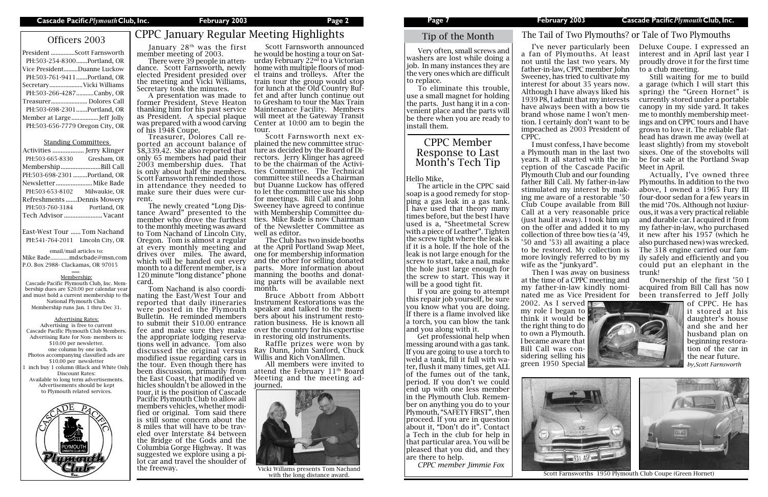# Officers 2003 CPPC January Regular Meeting Highlights

| President Scott Farnsworth      |
|---------------------------------|
| PH:503-254-8300Portland, OR     |
| Vice PresidentDuanne Luckow     |
| PH:503-761-9411Portland, OR     |
| SecretaryVicki Williams         |
| PH:503-266-4287Canby, OR        |
| Treasurer Dolores Call          |
| PH:503-698-2301Portland, OR     |
|                                 |
| PH:503-656-7779 Oregon City, OR |

### Standing Committees

| Activities  Jerry Klinger    |               |
|------------------------------|---------------|
| PH:503-665-8330              | Gresham, OR   |
| MembershipBill Call          |               |
| PH:503-698-2301 Portland, OR |               |
| Newsletter  Mike Bade        |               |
| PH:503-653-8102              | Milwaukie, OR |
| Refreshments Dennis Mowery   |               |
| PH:503-760-3184              | Portland, OR  |
| Tech Advisor  Vacant         |               |

East-West Tour ......Tom Nachand PH:541-764-2011 Lincoln City, OR

email/mail articles to: Mike Bade..............mdscbade@msn.com P.O. Box 2988- Clackamas, OR 97015

Membership:

Cascade Pacific Plymouth Club, Inc. Membership dues are \$20.00 per calendar year and must hold a current membership to the National Plymouth Club. Membership runs Jan. 1 thru Dec 31.

The newly created "Long Distance Award" presented to the member who drove the furthest to the monthly meeting was award to Tom Nachand of Lincoln City, Oregon. Tom is almost a regular at every monthly meeting and drives over miles. The award, which will be handed out every month to a different member, is a 120 minute "long distance" phone card.<br>Tom Nachand is also coordi-

Advertising Rates: Advertising is free to current Cascade Pacific Plymouth Club Members. Advertising Rate for Non- members is: \$10.00 per newsletter. one column by one inch. Photos accompanying classified ads are \$10.00 per newsletter inch buy 1 column (Black and White Onl Discount Rates: Available to long term advertisements. Advertisements should be kept to Plymouth related services.



### Tip of the Month

January 28th was the first member meeting of 2003.

There were 39 people in attendance. Scott Farnsworth, newly elected President presided over the meeting and Vicki Williams, Secretary took the minutes.

nating the East/West Tour and reported that daily itineraries were posted in the Plymouth Bulletin. He reminded members to submit their \$10.00 entrance fee and make sure they make<br>the appropriate lodging reservations well in advance. Tom also discussed the original versus modified issue regarding cars in the tour. Even though there has been discussion, primarily from<br>the East Coast, that modified vehicles shouldn't be allowed in the tour, it is the position of Cascade Pacific Plymouth Club to allow all fied or original. Tom said there is still some concern about the<br>8 miles that will have to be traveled over Interstate 84 between the Bridge of the Gods and the Columbia Gorge Highway. It was lot car and travel the shoulder of the freeway.

A presentation was made to former President, Steve Heaton thanking him for his past service as President. A special plaque was prepared with a wood carving of his 1948 Coupe.

Scott Farnsworth announced<br>he would be hosting a tour on Saturday February  $22<sup>nd</sup>$  to a Victorian home with multiple floors of mod- el trains and trolleys. After the train tour the group would stop<br>for lunch at the Old Country Buffet and after lunch continue out to Gresham to tour the Max Train Maintenance Facility. Members will meet at the Gateway Transit Center at 10:00 am to begin the

Treasurer, Dolores Call reported an account balance of \$8,339.42. She also reported that only 65 members had paid their 2003 membership dues. That is only about half the members. Scott Farnsworth reminded those in attendance they needed to make sure their dues were current.

> Get professional help when messing around with a gas tank. If you are going to use a torch to weld a tank, fill it full with water, flush it many times, get ALL of the fumes out of the tank, period. If you don't we could end up with one less member in the Plymouth Club. Remember on anything you do to your Plymouth, "SAFETY FIRST", then proceed. If you are in question about it, "Don't do it". Contact a Tech in the club for help in that particular area. You will be pleased that you did, and they are there to help.<br>CPPC member Jimmie Fox

tour. Scott Farnsworth next explained the new committee structure as decided by the Board of Directors. Jerry Klinger has agreed to be the chairman of the Activities Committee. The Technical committee still needs a Chairman but Duanne Luckow has offered to let the committee use his shop for meetings. Bill Call and John Sweeney have agreed to continue with Membership Committee duties. Mike Bade is now Chairman of the Newsletter Committee as well as editor.



*CPPC member Jimmie Fox* Vicki Willams presents Tom Nachand with the long distance award.

The Club has two inside booths at the April Portland Swap Meet, one for membership information and the other for selling donated parts. More information about manning the booths and donating parts will be available next month.

Bruce Abbott from Abbott Instrument Restorations was the speaker and talked to the members about his instrument restoration business. He is known all over the country for his expertise in restoring old instruments.

Raffle prizes were won by Ray Dunn, John Sanford, Chuck Willis and Rich VonAllmen.

All members were invited to attend the February  $11<sup>th</sup>$  Board Meeting and the meeting adjourned.

Scott Farnsworths 1950 Plymouth Club Coupe (Green Hornet)

Very often, small screws and washers are lost while doing a job. In many instances they are the very ones which are difficult to replace.

To eliminate this trouble, use a small magnet for holding the parts. Just hang it in a convenient place and the parts will be there when you are ready to install them.

a fan of Plymouths. At least not until the last two years. My father-in-law, CPPC member John Sweeney, has tried to cultivate my interest for about 35 years now. Although I have always liked his 1939 P8, I admit that my interests have always been with a bow tie brand whose name I won't mention. I certainly don't want to be impeached as 2003 President of CPPC.

I've never particularly been Deluxe Coupe. I expressed an interest and in April last year I proudly drove it for the first time to a club meeting.

I must confess, I have become a Plymouth man in the last two years. It all started with the inception of the Cascade Pacific Plymouth Club and our founding father Bill Call. My father-in-law stimulated my interest by making me aware of a restorable '50 Club Coupe available from Bill Call at a very reasonable price (just haul it away). I took him up on the offer and added it to my collection of three bow ties (a '49, '50 and '53) all awaiting a place to be restored. My collection is more lovingly referred to by my wife as the "junkyard".

Still waiting for me to build a garage (which I will start this spring) the "Green Hornet" is currently stored under a portable canopy in my side yard. It takes me to monthly membership meetings and on CPPC tours and I have grown to love it. The reliable flathead has drawn me away (well at least slightly) from my stovebolt sixes. One of the stovebolts will be for sale at the Portland Swap Meet in April.

Actually, I've owned three Plymouths. In addition to the two above, I owned a 1965 Fury III four-door sedan for a few years in the mid '70s. Although not luxiurous, it was a very practical reliable and durable car. I acquired it from my father-in-law, who purchased it new after his 1957 (which he also purchased new) was wrecked. The 318 engine carried our family safely and efficiently and you could put an elephant in the trunk!

Ownership of the first '50 I acquired from Bill Call has now



### The Tail of Two Plymouths? or Tale of Two Plymouths

### CPPC Member Response to Last Month's Tech Tip

### Hello Mike,

Then I was away on business at the time of a CPPC meeting and my father-in-law kindly nominated me as Vice President for been transferred to Jeff Jolly 2002. As I served  $\blacksquare$ my role I began to think it would be the right thing to do to own a Plymouth. I became aware that Bill Call was considering selling his green 1950 Special



The article in the CPPC said soap is a good remedy for stopping a gas leak in a gas tank. I have used that theory many times before, but the best I have used is a, "Sheetmetal Screw with a piece of Leather". Tighten the screw tight where the leak is if it is a hole. If the hole of the leak is not large enough for the screw to start, take a nail, make the hole just large enough for the screw to start. This way it will be a good tight fit.

If you are going to attempt this repair job yourself, be sure you know what you are doing. If there is a flame involved like a torch, you can blow the tank and you along with it.

of CPPC. He has it stored at his daughter's house and she and her husband plan on beginning restoration of the car in the near future. *by,Scott Farnsworth*

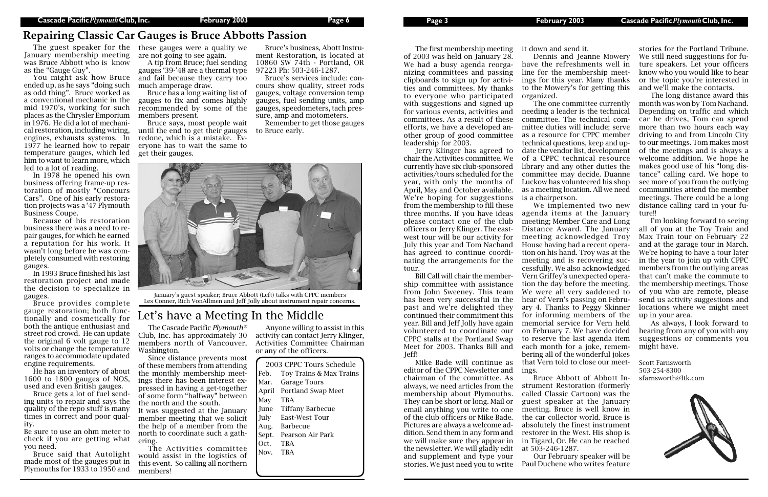The first membership meeting of 2003 was held on January 28. We had a busy agenda reorganizing committees and passing clipboards to sign up for activities and committees. My thanks to everyone who participated with suggestions and signed up for various events, activities and committees. As a result of these efforts, we have a developed another group of good committee leadership for 2003.

Jerry Klinger has agreed to chair the Activities committee. We currently have six club-sponsored activities/tours scheduled for the year, with only the months of April, May and October available. We're hoping for suggestions from the membership to fill these three months. If you have ideas please contact one of the club officers or Jerry Klinger. The eastwest tour will be our activity for July this year and Tom Nachand has agreed to continue coordinating the arrangements for the

tour.

Bill Call will chair the membership committee with assistance from John Sweeney. This team has been very successful in the past and we're delighted they continued their commitment this year. Bill and Jeff Jolly have again volunteered to coordinate our CPPC stalls at the Portland Swap Meet for 2003. Thanks Bill and Jeff!

Mike Bade will continue as editor of the CPPC Newsletter and chairman of the committee. As always, we need articles from the membership about Plymouths. They can be short or long. Mail or email anything you write to one of the club officers or Mike Bade. Pictures are always a welcome addition. Send them in any form and we will make sure they appear in the newsletter. We will gladly edit and supplement and type your stories. We just need you to write

it down and send it.

Dennis and Jeanne Mowery have the refreshments well in line for the membership meetings for this year. Many thanks to the Mowery's for getting this

organized.

The one committee currently needing a leader is the technical committee. The technical committee duties will include; serve as a resource for CPPC member technical questions, keep and update the vendor list, development of a CPPC technical resource library and any other duties the committee may decide. Duanne Luckow has volunteered his shop as a meeting location. All we need is a chairperson.

We implemented two new agenda items at the January meeting; Member Care and Long Distance Award. The January meeting acknowledged Troy House having had a recent operation on his hand. Troy was at the meeting and is recovering successfully. We also acknowledged Vern Griffey's unexpected operation the day before the meeting. We were all very saddened to hear of Vern's passing on February 4. Thanks to Peggy Skinner for informing members of the memorial service for Vern held on February 7. We have decided to reserve the last agenda item each month for a joke, remembering all of the wonderful jokes

that Vern told to close our meetings. Bruce Abbott of Abbott Instrument Restoration (formerly called Classic Cartoon) was the guest speaker at the January meeting. Bruce is well know in the car collector world. Bruce is absolutely the finest instrument restorer in the West. His shop is in Tigard, Or. He can be reached at 503-246-1287.

Our February speaker will be Paul Duchene who writes feature



stories for the Portland Tribune. We still need suggestions for future speakers. Let your officers know who you would like to hear or the topic you're interested in and we'll make the contacts.

The long distance award this month was won by Tom Nachand. Depending on traffic and which car he drives, Tom can spend more than two hours each way driving to and from Lincoln City to our meetings. Tom makes most of the meetings and is always a welcome addition. We hope he makes good use of his "long distance" calling card. We hope to see more of you from the outlying communities attend the member meetings. There could be a long distance calling card in your future!!

I'm looking forward to seeing all of you at the Toy Train and Max Train tour on February 22 and at the garage tour in March. We're hoping to have a tour later in the year to join up with CPPC members from the outlying areas that can't make the commute to the membership meetings. Those of you who are remote, please send us activity suggestions and locations where we might meet up in your area.

As always, I look forward to hearing from any of you with any suggestions or comments you might have.

Scott Farnsworth 503-254-8300 sfarnsworth@ltk.com



## **Repairing Classic Car Gauges is Bruce Abbotts Passion**

January membership meeting was Bruce Abbott who is know as the "Gauge Guy".

You might ask how Bruce ended up, as he says "doing such as odd thing". Bruce worked as a conventional mechanic in the mid 1970's, working for such places as the Chrysler Emporium in 1976. He did a lot of mechanical restoration, including wiring, engines, exhausts systems. In 1977 he learned how to repair temperature gauges, which led him to want to learn more, which led to a lot of reading.

In 1978 he opened his own business offering frame-up restoration of mostly "Concours Cars". One of his early restoration projects was a '47 Plymouth Business Coupe.

Because of his restoration business there was a need to repair gauges, for which he earned a reputation for his work. It wasn't long before he was completely consumed with restoring gauges.

The guest speaker for the these gauges were a quality we are not going to see again.

In 1993 Bruce finished his last restoration project and made the decision to specialize in gauges.

Bruce provides complete gauge restoration; both functionally and cosmetically for both the antique enthusiast and street rod crowd. He can update the original 6 volt gauge to 12 volts or change the temperature ranges to accommodate updated engine requirements.

He has an inventory of about 1600 to 1800 gauges of NOS, used and even British gauges.

Bruce gets a lot of fuel sending units to repair and says the quality of the repo stuff is many times in correct and poor quality.

Be sure to use an ohm meter to check if you are getting what you need.

Bruce said that Autolight made most of the gauges put in Plymouths for 1933 to 1950 and

A tip from Bruce; fuel sending gauges '39-'48 are a thermal type and fail because they carry too much amperage draw.

Bruce has a long waiting list of gauges to fix and comes highly recommended by some of the members present.

Bruce says, most people wait until the end to get their gauges redone, which is a mistake. Everyone has to wait the same to get their gauges.

Bruce's business, Abott Instrument Restoration, is located at 10860 SW 74th - Portland, OR 97223 Ph: 503-246-1287.

Bruce's services include: concours show quality, street rods gauges, voltage conversion temp gauges, fuel sending units, amp gauges, speedometers, tach pressure, amp and motometers.

Remember to get those gauges to Bruce early.

The Cascade Pacific *Plymouth®*  Club, Inc. has approximately 30 members north of Vancouver, Washington.

Since distance prevents most of these members from attending the monthly membership meetings there has been interest expressed in having a get-together of some form "halfway" between the north and the south.

It was suggested at the January member meeting that we solicit the help of a member from the north to coordinate such a gathering.

The Activities committee would assist in the logistics of this event. So calling all northern members!

Anyone willing to assist in this activity can contact Jerry Klinger, Activities Committee Chairman or any of the officers.

## Let's have a Meeting In the Middle

January's guest speaker; Bruce Abbott (Left) talks with CPPC members Les Conner, Rich VonAllmen and Jeff Jolly about instrument repair concerns.

|          | 2003 CPPC Tours Schedule |
|----------|--------------------------|
| Feb.     | Toy Trains & Max Trains  |
| Mar.     | <b>Garage Tours</b>      |
|          | April Portland Swap Meet |
| May      | <b>TRA</b>               |
| June     | <b>Tiffany Barbecue</b>  |
| July     | East-West Tour           |
| Aug.     | Barbecue                 |
| Sept.    | Pearson Air Park         |
| Oct.     | <b>TRA</b>               |
| Nov. TRA |                          |
|          |                          |
|          |                          |